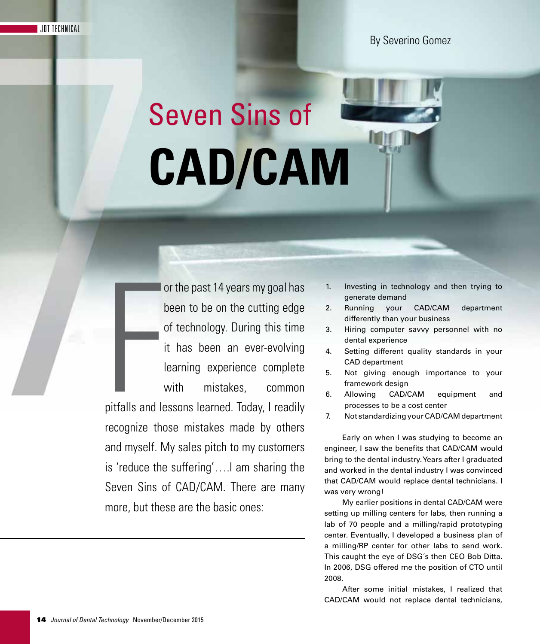# Seven Sins of **CAD/CAM**

or the past 14 years my goal has been to be on the cutting edge of technology. During this time it has been an ever-evolving learning experience complete with mistakes, common

pitfalls and let pitfalls and lessons learned. Today, I readily recognize those mistakes made by others and myself. My sales pitch to my customers is 'reduce the suffering'….I am sharing the Seven Sins of CAD/CAM. There are many more, but these are the basic ones:

- 1. Investing in technology and then trying to generate demand
- 2. Running your CAD/CAM department differently than your business
- 3. Hiring computer savvy personnel with no dental experience
- 4. Setting different quality standards in your CAD department
- 5. Not giving enough importance to your framework design
- 6. Allowing CAD/CAM equipment and processes to be a cost center
- 7. Not standardizing your CAD/CAM department

Early on when I was studying to become an engineer, I saw the benefits that CAD/CAM would bring to the dental industry. Years after I graduated and worked in the dental industry I was convinced that CAD/CAM would replace dental technicians. I was very wrong!

My earlier positions in dental CAD/CAM were setting up milling centers for labs, then running a lab of 70 people and a milling/rapid prototyping center. Eventually, I developed a business plan of a milling/RP center for other labs to send work. This caught the eye of DSG´s then CEO Bob Ditta. In 2006, DSG offered me the position of CTO until 2008.

After some initial mistakes, I realized that CAD/CAM would not replace dental technicians,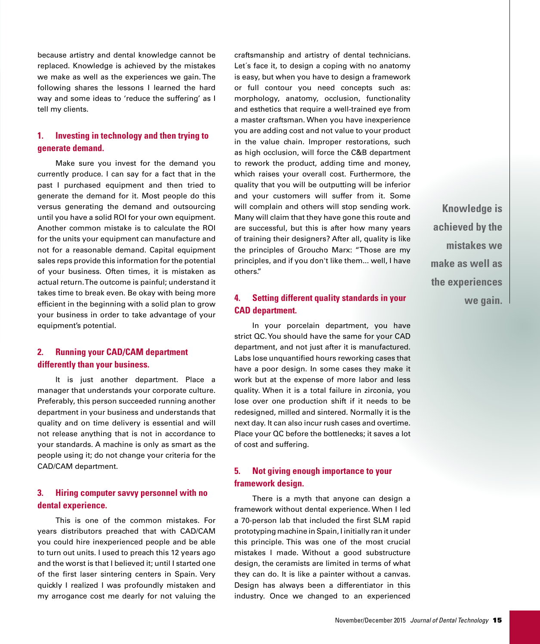because artistry and dental knowledge cannot be replaced. Knowledge is achieved by the mistakes we make as well as the experiences we gain. The following shares the lessons I learned the hard way and some ideas to 'reduce the suffering' as I tell my clients.

# **1. Investing in technology and then trying to generate demand.**

Make sure you invest for the demand you currently produce. I can say for a fact that in the past I purchased equipment and then tried to generate the demand for it. Most people do this versus generating the demand and outsourcing until you have a solid ROI for your own equipment. Another common mistake is to calculate the ROI for the units your equipment can manufacture and not for a reasonable demand. Capital equipment sales reps provide this information for the potential of your business. Often times, it is mistaken as actual return. The outcome is painful; understand it takes time to break even. Be okay with being more efficient in the beginning with a solid plan to grow your business in order to take advantage of your equipment's potential.

## **2. Running your CAD/CAM department differently than your business.**

It is just another department. Place a manager that understands your corporate culture. Preferably, this person succeeded running another department in your business and understands that quality and on time delivery is essential and will not release anything that is not in accordance to your standards. A machine is only as smart as the people using it; do not change your criteria for the CAD/CAM department.

#### **3. Hiring computer savvy personnel with no dental experience.**

This is one of the common mistakes. For years distributors preached that with CAD/CAM you could hire inexperienced people and be able to turn out units. I used to preach this 12 years ago and the worst is that I believed it; until I started one of the first laser sintering centers in Spain. Very quickly I realized I was profoundly mistaken and my arrogance cost me dearly for not valuing the

craftsmanship and artistry of dental technicians. Let´s face it, to design a coping with no anatomy is easy, but when you have to design a framework or full contour you need concepts such as: morphology, anatomy, occlusion, functionality and esthetics that require a well-trained eye from a master craftsman. When you have inexperience you are adding cost and not value to your product in the value chain. Improper restorations, such as high occlusion, will force the C&B department to rework the product, adding time and money, which raises your overall cost. Furthermore, the quality that you will be outputting will be inferior and your customers will suffer from it. Some will complain and others will stop sending work. Many will claim that they have gone this route and are successful, but this is after how many years of training their designers? After all, quality is like the principles of Groucho Marx: "Those are my principles, and if you don't like them... well, I have others."

## **4. Setting different quality standards in your CAD department.**

In your porcelain department, you have strict QC. You should have the same for your CAD department, and not just after it is manufactured. Labs lose unquantified hours reworking cases that have a poor design. In some cases they make it work but at the expense of more labor and less quality. When it is a total failure in zirconia, you lose over one production shift if it needs to be redesigned, milled and sintered. Normally it is the next day. It can also incur rush cases and overtime. Place your QC before the bottlenecks; it saves a lot of cost and suffering.

## **5. Not giving enough importance to your framework design.**

There is a myth that anyone can design a framework without dental experience. When I led a 70-person lab that included the first SLM rapid prototyping machine in Spain, I initially ran it under this principle. This was one of the most crucial mistakes I made. Without a good substructure design, the ceramists are limited in terms of what they can do. It is like a painter without a canvas. Design has always been a differentiator in this industry. Once we changed to an experienced

**Knowledge is achieved by the mistakes we make as well as the experiences we gain.**